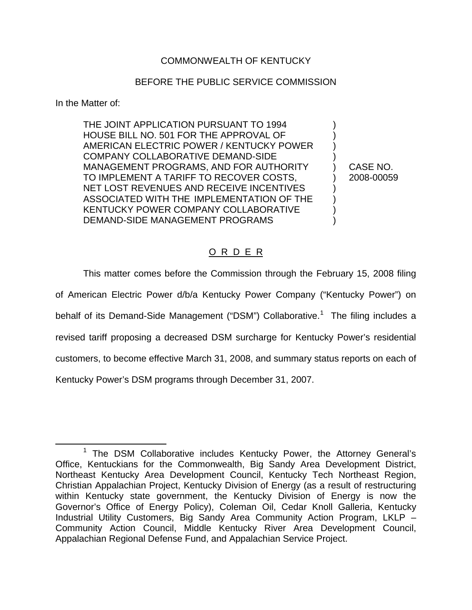## COMMONWEALTH OF KENTUCKY

## BEFORE THE PUBLIC SERVICE COMMISSION

In the Matter of:

THE JOINT APPLICATION PURSUANT TO 1994 HOUSE BILL NO. 501 FOR THE APPROVAL OF ) AMERICAN ELECTRIC POWER / KENTUCKY POWER ) COMPANY COLLABORATIVE DEMAND-SIDE ) MANAGEMENT PROGRAMS, AND FOR AUTHORITY ) CASE NO. TO IMPLEMENT A TARIFF TO RECOVER COSTS,  $\qquad$  ) 2008-00059 NET LOST REVENUES AND RECEIVE INCENTIVES ASSOCIATED WITH THE IMPLEMENTATION OF THE ) KENTUCKY POWER COMPANY COLLABORATIVE ) DEMAND-SIDE MANAGEMENT PROGRAMS )

## O R D E R

This matter comes before the Commission through the February 15, 2008 filing of American Electric Power d/b/a Kentucky Power Company ("Kentucky Power") on behalf of its Demand-Side Management ("DSM") Collaborative.<sup>1</sup> The filing includes a revised tariff proposing a decreased DSM surcharge for Kentucky Power's residential customers, to become effective March 31, 2008, and summary status reports on each of Kentucky Power's DSM programs through December 31, 2007.

<sup>&</sup>lt;sup>1</sup> The DSM Collaborative includes Kentucky Power, the Attorney General's Office, Kentuckians for the Commonwealth, Big Sandy Area Development District, Northeast Kentucky Area Development Council, Kentucky Tech Northeast Region, Christian Appalachian Project, Kentucky Division of Energy (as a result of restructuring within Kentucky state government, the Kentucky Division of Energy is now the Governor's Office of Energy Policy), Coleman Oil, Cedar Knoll Galleria, Kentucky Industrial Utility Customers, Big Sandy Area Community Action Program, LKLP – Community Action Council, Middle Kentucky River Area Development Council, Appalachian Regional Defense Fund, and Appalachian Service Project.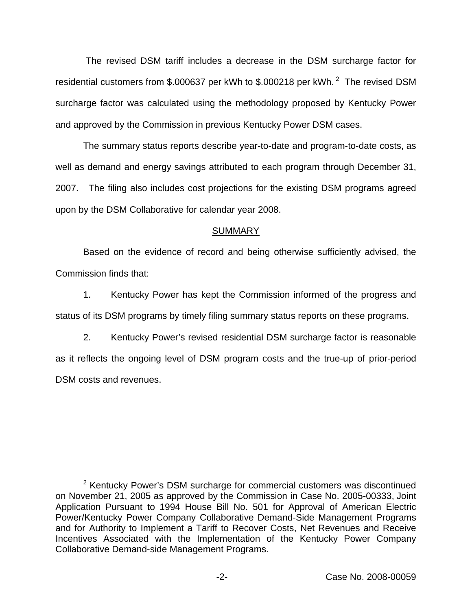The revised DSM tariff includes a decrease in the DSM surcharge factor for residential customers from \$.000637 per kWh to \$.000218 per kWh.<sup>2</sup> The revised DSM surcharge factor was calculated using the methodology proposed by Kentucky Power and approved by the Commission in previous Kentucky Power DSM cases.

The summary status reports describe year-to-date and program-to-date costs, as well as demand and energy savings attributed to each program through December 31, 2007. The filing also includes cost projections for the existing DSM programs agreed upon by the DSM Collaborative for calendar year 2008.

## **SUMMARY**

Based on the evidence of record and being otherwise sufficiently advised, the Commission finds that:

1. Kentucky Power has kept the Commission informed of the progress and status of its DSM programs by timely filing summary status reports on these programs.

2. Kentucky Power's revised residential DSM surcharge factor is reasonable as it reflects the ongoing level of DSM program costs and the true-up of prior-period DSM costs and revenues.

<sup>&</sup>lt;sup>2</sup> Kentucky Power's DSM surcharge for commercial customers was discontinued on November 21, 2005 as approved by the Commission in Case No. 2005-00333, Joint Application Pursuant to 1994 House Bill No. 501 for Approval of American Electric Power/Kentucky Power Company Collaborative Demand-Side Management Programs and for Authority to Implement a Tariff to Recover Costs, Net Revenues and Receive Incentives Associated with the Implementation of the Kentucky Power Company Collaborative Demand-side Management Programs.